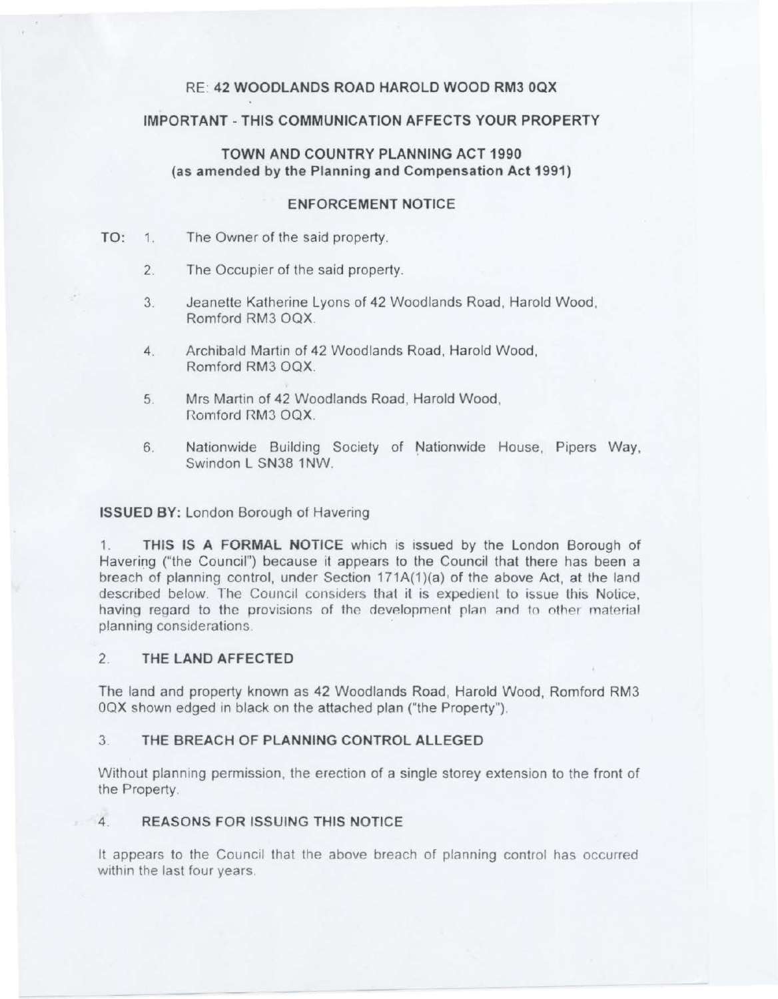# RE: 42 WOODLANDS ROAD HAROLD WOOD RM3 OQX

# IMPORTANT -THIS COMMUNICATION AFFECTS YOUR PROPERTY

# TOWN AND COUNTRY PLANNING ACT 1990 (as amended by the Planning and Compensation Act 1991)

# ENFORCEMENT NOTICE

- TO: 1. The Owner of the said property.
	- 2. The Occupier of the said property.
	- 3. Jeanette Katherine Lyons of 42 Woodlands Road, Harold Wood, Romford RM3 OQX.
	- 4. Archibald Martin of 42 Woodlands Road, Harold Wood, Romford RM3 OQX.
	- 5. Mrs Martin of 42 Woodlands Road, Harold Wood, Romford RMJ OQX.
	- 6. Nationwide Building Society of Nationwide House, Pipers Way, Swindon L SN38 1NW.

# ISSUED BY: London Borough of Havering

1. THIS IS A FORMAL NOTICE which is issued by the London Borough of Havering ("the Council") because it appears to the Council that there has been a breach of planning control, under Section 171A(1)(a) of the above Act, at the land described below. The Council considers that it is expedient to issue this Notice, having regard to the provisions of the development plan and to other material planning considerations.

# 2 THE LAND AFFECTED

The land and property known as 42 Woodlands Road, Harold Wood, Romford RM3 OQX shown edged in black on the attached plan ("the Property").

# 3. THE BREACH OF PLANNING CONTROL ALLEGED

Without planning permission, the erection of a single storey extension to the front of the Property.

# 4. REASONS FOR ISSUING THIS NOTICE

It appears to the Council that the above breach of planning control has occurred within the last four years.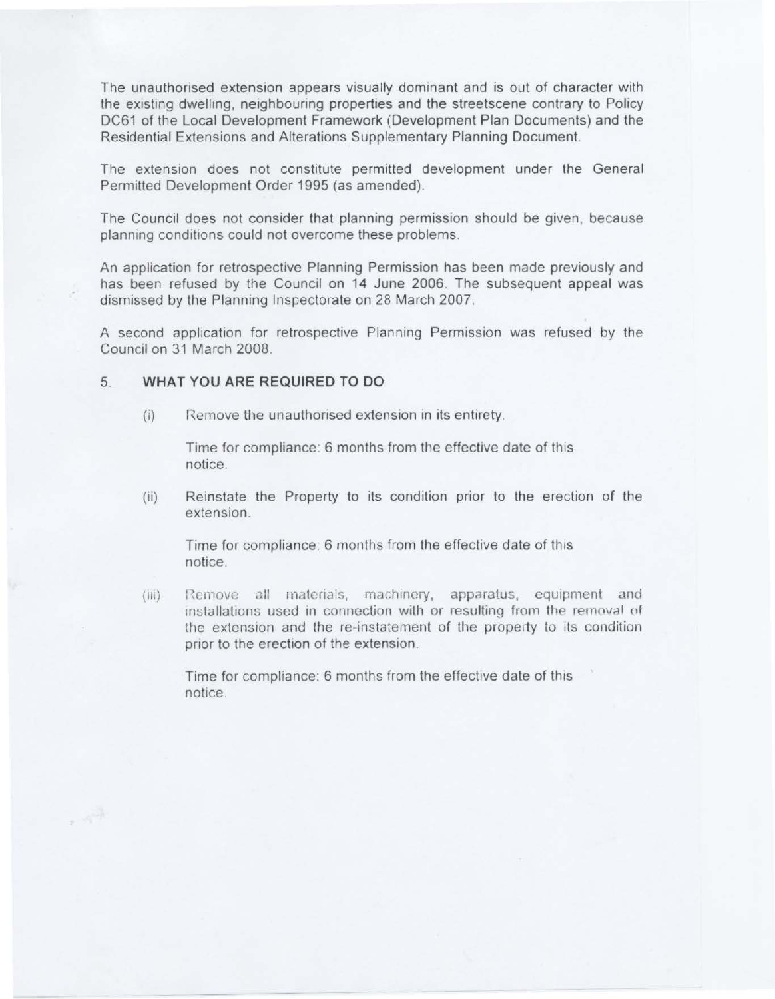The unauthorised extension appears visually dominant and is out of character with the existing dwelling, neighbouring properties and the streetscene contrary to Policy DC61 of the Local Development Framework (Development Plan Documents) and the Residential Extensions and Alterations Supplementary Planning Document.

The extension does not constitute permitted development under the General Permitted Development Order 1995 (as amended).

The Council does not consider that planning permission should be given, because planning conditions could not overcome these problems.

An application for retrospective Planning Permission has been made previously and has been refused by the Council on 14 June 2006. The subsequent appeal was dismissed by the Planning Inspectorate on 28 March 2007.

A second application for retrospective Planning Permission was refused by the Council on 31 March 2008.

### 5. **WHAT YOU ARE REQUIRED TO DO**

 $\sim 10^{13}$ 

(i) Remove the unauthorised extension in its entirety.

Time for compliance: 6 months from the effective date of this notice.

(ii) Reinstate the Property to its condition prior to the erection of the extension.

Time for compliance: 6 months from the effective date of this notice.

(iii) Remove all materials, machinery, apparatus, equipment and installations used in connection with or resulting from the removal of the extension and the re-instatement of the property to its condition prior to the erection of the extension.

Time for compliance: 6 months from the effective date of this notice.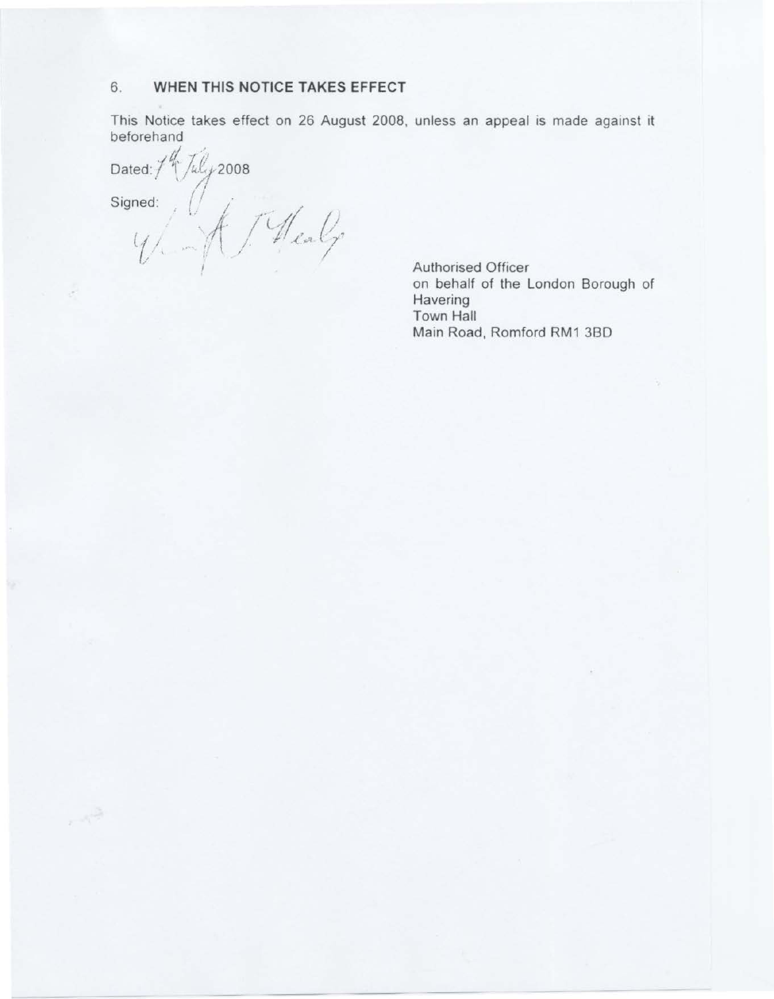#### 6. WHEN THIS NOTICE TAKES EFFECT

This Notice takes effect on 26 August 2008, unless an appeal is made against it beforehand

Dated:/

 $\label{eq:2.1} \mathcal{F} = \mathcal{F}_1^{\frac{1/2\alpha}{1-\alpha}}$ 

ted://ucy2006<br>med:///////eal/ Signed:

[uly 2008

Authorised Officer on behalf of the London Borough of Havering Town Hall Main Road, Romford RM1 3BD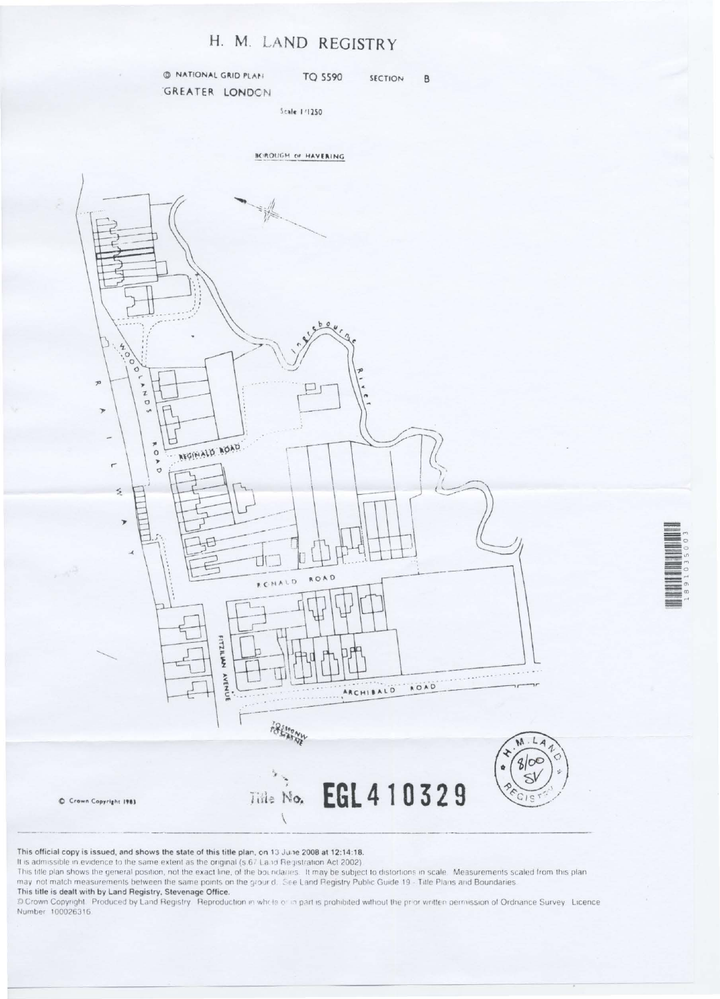# H. M. LAND REGISTRY

@ NATIONAL GRID PLAN **TQ 5590** SECTION  $\mathsf B$ GREATER LONDON

Scale 1/1250





This official copy is issued, and shows the state of this title plan, on 13 June 2008 at 12:14:18.

It is admissible in evidence to the same extent as the original (s.67 Land Registration Act 2002).

This title plan shows the general position, not the exact line, of the boundaries. It may be subject to distortions in scale. Measurements scaled from this plan may not match measurements between the same points on the grour d. See Land Registry Public Guide 19 - Title Plans and Boundaries.

#### This title is dealt with by Land Registry, Stevenage Office.

D Crown Copyright. Produced by Land Registry. Reproduction in whole or in part is prohibited without the prior written permission of Ordnance Survey. Licence Number 100026316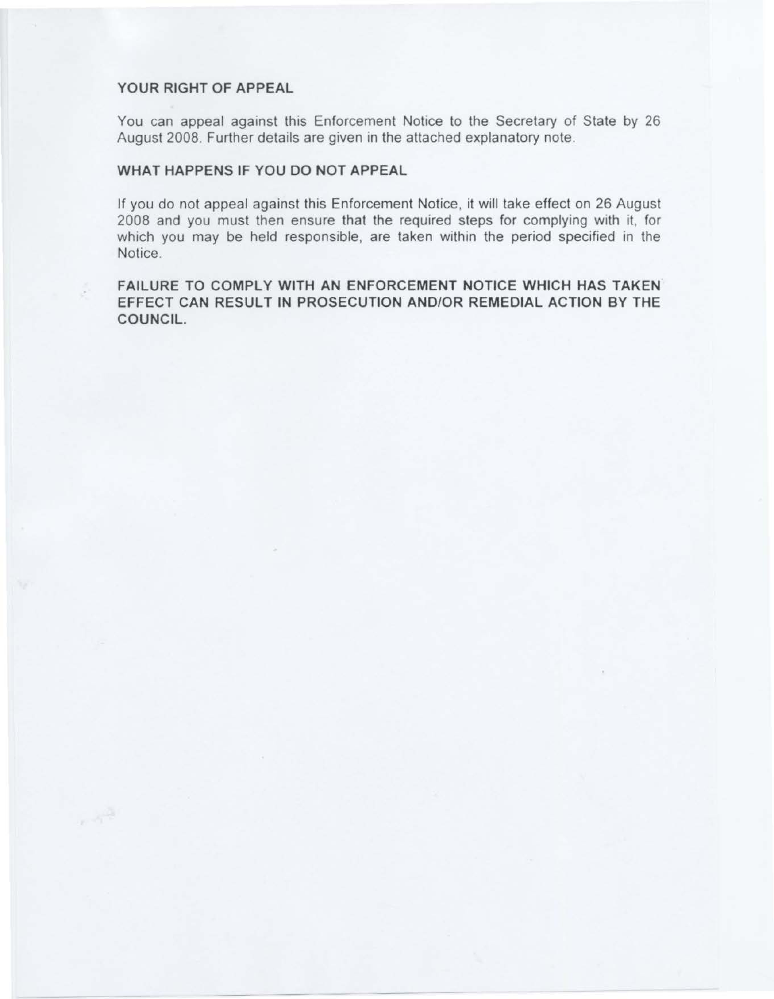# YOUR RIGHT OF APPEAL

 $\sim$   $\gamma^{\rm th}$ 

You can appeal against this Enforcement Notice to the Secretary of State by 26 August 2008. Further details are given in the attached explanatory note.

# WHAT HAPPENS IF YOU DO NOT APPEAL

If you do not appeal against this Enforcement Notice, it will take effect on 26 August 2008 and you must then ensure that the required steps for complying with it, for which you may be held responsible, are taken within the period specified in the Notice.

FAILURE TO COMPLY WITH AN ENFORCEMENT NOTICE WHICH HAS TAKEN EFFECT CAN RESULT IN PROSECUTION AND/OR REMEDIAL ACTION BY THE COUNCIL.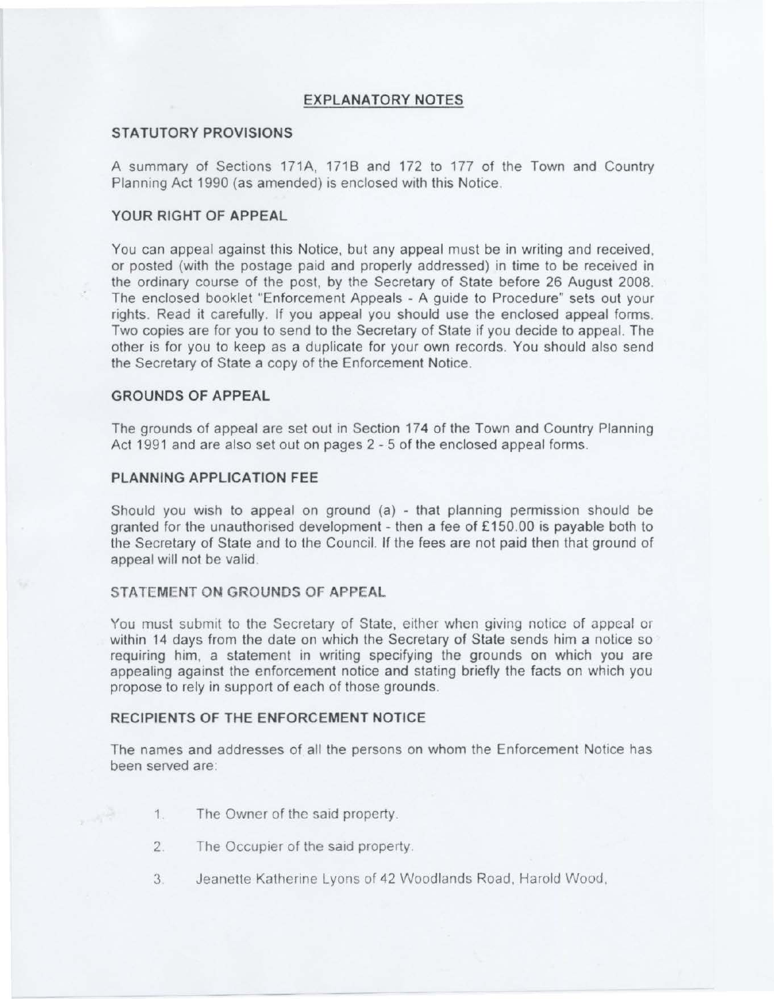# **EXPLANATORY NOTES**

# **STATUTORY PROVISIONS**

A summary of Sections 171A, 1718 and 172 to 177 of the Town and Country Planning Act 1990 (as amended) is enclosed with this Notice.

# **YOUR RIGHT OF APPEAL**

You can appeal against this Notice. but any appeal must be in writing and received , or posted (with the postage paid and properly addressed) in time to be received in the ordinary course of the post, by the Secretary of State before 26 August 2008. The enclosed booklet "Enforcement Appeals - A guide to Procedure" sets out your rights. Read it carefully. If you appeal you should use the enclosed appeal forms. Two copies are for you to send to the Secretary of State if you decide to appeal. The other is for you to keep as a duplicate for your own records. You should also send the Secretary of State a copy of the Enforcement Notice.

#### **GROUNDS OF APPEAL**

The grounds of appeal are set out in Section 174 of the Town and Country Planning Act 1991 and are also set out on pages 2 - 5 of the enclosed appeal forms.

### **PLANNING APPLICATION FEE**

Should you wish to appeal on ground  $(a)$  - that planning permission should be granted for the unauthorised development - then a fee of £150.00 is payable both to the Secretary of State and to the Council. If the fees are not paid then that ground of appeal will not be valid.

#### **STATEMENT ON GROUNDS OF APPEAL**

You must submit to the Secretary of State, either when giving notice of appeal or within 14 days from the date on which the Secretary of State sends him a notice so requiring him, a statement in writing specifying the grounds on which you are appealing against the enforcement notice and stating briefly the facts on which you propose to rely in support of each of those grounds.

# **RECIPIENTS OF THE ENFORCEMENT NOTICE**

The names and addresses of all the persons on whom the Enforcement Notice has been served are.

- 1. The Owner of the said property.
- 2. The Occupier of the said property.
- 3 Jeanette Katherine Lyons of 42 Woodlands Road, Harold Wood ,